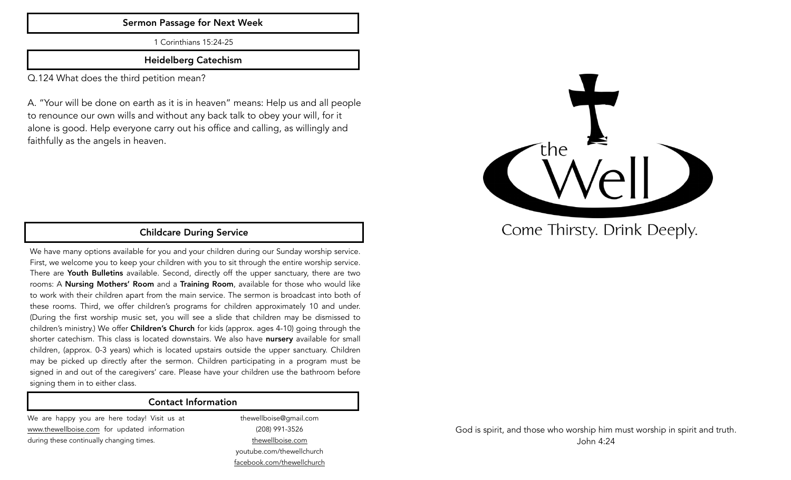### Sermon Passage for Next Week

1 Corinthians 15:24-25

## Heidelberg Catechism

Q.124 What does the third petition mean?

A. "Your will be done on earth as it is in heaven" means: Help us and all people to renounce our own wills and without any back talk to obey your will, for it alone is good. Help everyone carry out his office and calling, as willingly and faithfully as the angels in heaven.

# Childcare During Service

We have many options available for you and your children during our Sunday worship service. First, we welcome you to keep your children with you to sit through the entire worship service. There are Youth Bulletins available. Second, directly off the upper sanctuary, there are two rooms: A Nursing Mothers' Room and a Training Room, available for those who would like to work with their children apart from the main service. The sermon is broadcast into both of these rooms. Third, we offer children's programs for children approximately 10 and under. (During the first worship music set, you will see a slide that children may be dismissed to children's ministry.) We offer Children's Church for kids (approx. ages 4-10) going through the shorter catechism. This class is located downstairs. We also have nursery available for small children, (approx. 0-3 years) which is located upstairs outside the upper sanctuary. Children may be picked up directly after the sermon. Children participating in a program must be signed in and out of the caregivers' care. Please have your children use the bathroom before signing them in to either class.

#### Contact Information

We are happy you are here today! Visit us at [www.thewellboise.com](http://www.thewellboise.com) for updated information during these continually changing times.

thewellboise@gmail.com (208) 991-3526 [thewellboise.com](http://thewellboise.com) youtube.com/thewellchurch [facebook.com/thewellchurch](http://facebook.com/thewellchurch)



# Come Thirsty. Drink Deeply.

God is spirit, and those who worship him must worship in spirit and truth. John 4:24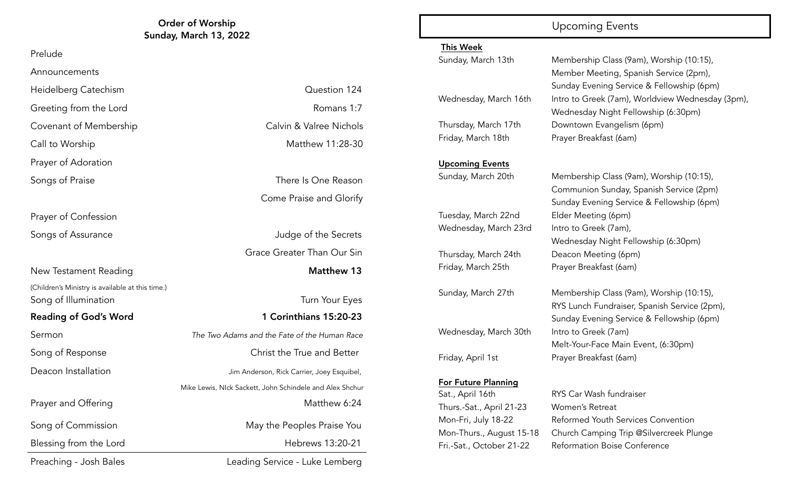# Order of Worship Upcoming Events Sunday, March 13, 2022

#### Prelude

Announcements

Heidelberg Catechism **Manufathers** Cuestion 124

Greeting from the Lord **Romans 1:7** Romans 1:7

Covenant of Membership Covenant of Membership Calvin & Valree Nichols

Call to Worship **Matthew 11:28-30** 

Prayer of Adoration

Prayer of Confession

New Testament Reading Matthew 13 (Children's Ministry is available at this time.)

Songs of Praise There Is One Reason Come Praise and Glorify

Songs of Assurance Songs of Assurance Assurance Judge of the Secrets Grace Greater Than Our Sin

Song of Illumination **Turn Your Eyes Turn Your Eyes** Reading of God's Word 1 Corinthians 15:20-23 Sermon *The Two Adams and the Fate of the Human Race* Song of Response Christ the True and Better Deacon Installation **Deacon Installation** Jim Anderson, Rick Carrier, Joey Esquibel, Mike Lewis, NIck Sackett, John Schindele and Alex Shchur Prayer and Offering Matthew 6:24 Song of Commission **May the Peoples Praise You** Blessing from the Lord Blessing from the Lord Hebrews 13:20-21

Preaching - Josh Bales Leading Service - Luke Lemberg

#### This Week

# Upcoming Events

Tuesday, March 22nd Elder Meeting (6pm) Wednesday, March 23rd Intro to Greek (7am),

Wednesday, March 30th Intro to Greek (7am)

#### For Future Planning

Thurs.-Sat., April 21-23 Women's Retreat

Sunday, March 13th Membership Class (9am), Worship (10:15), Member Meeting, Spanish Service (2pm), Sunday Evening Service & Fellowship (6pm) Wednesday, March 16th Intro to Greek (7am), Worldview Wednesday (3pm), Wednesday Night Fellowship (6:30pm) Thursday, March 17th Downtown Evangelism (6pm) Friday, March 18th Prayer Breakfast (6am)

Sunday, March 20th Membership Class (9am), Worship (10:15), Communion Sunday, Spanish Service (2pm) Sunday Evening Service & Fellowship (6pm) Wednesday Night Fellowship (6:30pm) Thursday, March 24th Deacon Meeting (6pm) Friday, March 25th Prayer Breakfast (6am)

Sunday, March 27th Membership Class (9am), Worship (10:15), RYS Lunch Fundraiser, Spanish Service (2pm), Sunday Evening Service & Fellowship (6pm) Melt-Your-Face Main Event, (6:30pm) Friday, April 1st Prayer Breakfast (6am)

Sat., April 16th RYS Car Wash fundraiser Mon-Fri, July 18-22 Reformed Youth Services Convention Mon-Thurs., August 15-18 Church Camping Trip @Silvercreek Plunge Fri.-Sat., October 21-22 Reformation Boise Conference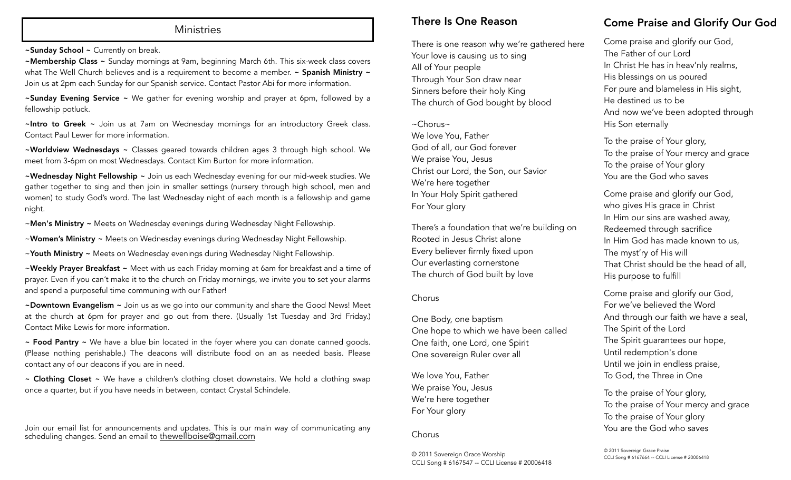### **Ministries**

~Sunday School ~ Currently on break.

~Membership Class ~ Sunday mornings at 9am, beginning March 6th. This six-week class covers what The Well Church believes and is a requirement to become a member.  $\sim$  Spanish Ministry  $\sim$ Join us at 2pm each Sunday for our Spanish service. Contact Pastor Abi for more information.

~Sunday Evening Service ~ We gather for evening worship and prayer at 6pm, followed by a fellowship potluck.

~Intro to Greek ~ Join us at 7am on Wednesday mornings for an introductory Greek class. Contact Paul Lewer for more information.

~Worldview Wednesdays ~ Classes geared towards children ages 3 through high school. We meet from 3-6pm on most Wednesdays. Contact Kim Burton for more information.

~Wednesday Night Fellowship ~ Join us each Wednesday evening for our mid-week studies. We gather together to sing and then join in smaller settings (nursery through high school, men and women) to study God's word. The last Wednesday night of each month is a fellowship and game night.

~Men's Ministry ~ Meets on Wednesday evenings during Wednesday Night Fellowship.

~Women's Ministry ~ Meets on Wednesday evenings during Wednesday Night Fellowship.

~Youth Ministry ~ Meets on Wednesday evenings during Wednesday Night Fellowship.

~Weekly Prayer Breakfast ~ Meet with us each Friday morning at 6am for breakfast and a time of prayer. Even if you can't make it to the church on Friday mornings, we invite you to set your alarms and spend a purposeful time communing with our Father!

~Downtown Evangelism ~ Join us as we go into our community and share the Good News! Meet at the church at 6pm for prayer and go out from there. (Usually 1st Tuesday and 3rd Friday.) Contact Mike Lewis for more information.

~ Food Pantry ~ We have a blue bin located in the foyer where you can donate canned goods. (Please nothing perishable.) The deacons will distribute food on an as needed basis. Please contact any of our deacons if you are in need.

~ Clothing Closet ~ We have a children's clothing closet downstairs. We hold a clothing swap once a quarter, but if you have needs in between, contact Crystal Schindele.

Join our email list for announcements and updates. This is our main way of communicating any scheduling changes. Send an email to [thewellboise@gmail.com](mailto:thewellboise@gmail.com)

# There Is One Reason

There is one reason why we're gathered here Your love is causing us to sing All of Your people Through Your Son draw near Sinners before their holy King The church of God bought by blood

~Chorus~

We love You, Father God of all, our God forever We praise You, Jesus Christ our Lord, the Son, our Savior We're here together In Your Holy Spirit gathered For Your glory

There's a foundation that we're building on Rooted in Jesus Christ alone Every believer firmly fixed upon Our everlasting cornerstone The church of God built by love

#### **Chorus**

One Body, one baptism One hope to which we have been called One faith, one Lord, one Spirit One sovereign Ruler over all

We love You, Father We praise You, Jesus We're here together For Your glory

#### Chorus

© 2011 Sovereign Grace Worship CCLI Song # 6167547 -- CCLI License # 20006418

# Come Praise and Glorify Our God

Come praise and glorify our God, The Father of our Lord In Christ He has in heav'nly realms, His blessings on us poured For pure and blameless in His sight, He destined us to be And now we've been adopted through His Son eternally

To the praise of Your glory, To the praise of Your mercy and grace To the praise of Your glory You are the God who saves

Come praise and glorify our God, who gives His grace in Christ In Him our sins are washed away, Redeemed through sacrifice In Him God has made known to us, The myst'ry of His will That Christ should be the head of all, His purpose to fulfill

Come praise and glorify our God, For we've believed the Word And through our faith we have a seal, The Spirit of the Lord The Spirit guarantees our hope, Until redemption's done Until we join in endless praise, To God, the Three in One

To the praise of Your glory, To the praise of Your mercy and grace To the praise of Your glory You are the God who saves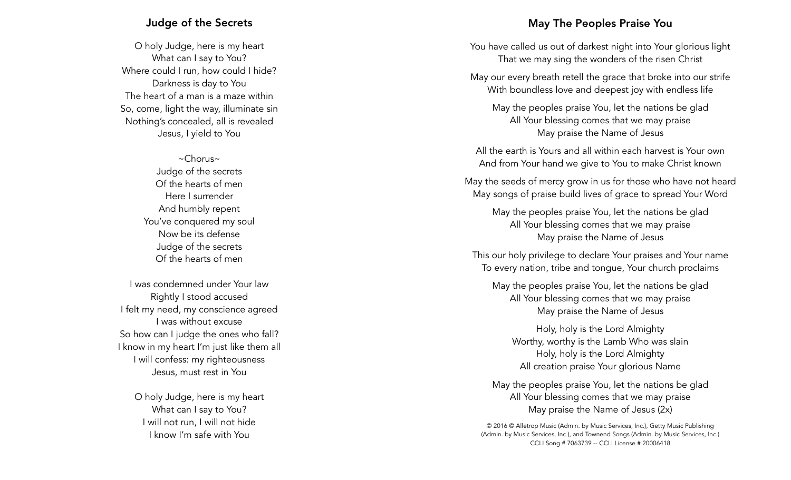# Judge of the Secrets

O holy Judge, here is my heart What can I say to You? Where could I run, how could I hide? Darkness is day to You The heart of a man is a maze within So, come, light the way, illuminate sin Nothing's concealed, all is revealed Jesus, I yield to You

> $~\sim$ Chorus $~\sim$ Judge of the secrets Of the hearts of men Here I surrender And humbly repent You've conquered my soul Now be its defense Judge of the secrets Of the hearts of men

I was condemned under Your law Rightly I stood accused I felt my need, my conscience agreed I was without excuse So how can I judge the ones who fall? I know in my heart I'm just like them all I will confess: my righteousness Jesus, must rest in You

> O holy Judge, here is my heart What can I say to You? I will not run, I will not hide I know I'm safe with You

# May The Peoples Praise You

You have called us out of darkest night into Your glorious light That we may sing the wonders of the risen Christ

May our every breath retell the grace that broke into our strife With boundless love and deepest joy with endless life

May the peoples praise You, let the nations be glad All Your blessing comes that we may praise May praise the Name of Jesus

All the earth is Yours and all within each harvest is Your own And from Your hand we give to You to make Christ known

May the seeds of mercy grow in us for those who have not heard May songs of praise build lives of grace to spread Your Word

May the peoples praise You, let the nations be glad All Your blessing comes that we may praise May praise the Name of Jesus

This our holy privilege to declare Your praises and Your name To every nation, tribe and tongue, Your church proclaims

May the peoples praise You, let the nations be glad All Your blessing comes that we may praise May praise the Name of Jesus

Holy, holy is the Lord Almighty Worthy, worthy is the Lamb Who was slain Holy, holy is the Lord Almighty All creation praise Your glorious Name

May the peoples praise You, let the nations be glad All Your blessing comes that we may praise May praise the Name of Jesus (2x)

© 2016 © Alletrop Music (Admin. by Music Services, Inc.), Getty Music Publishing (Admin. by Music Services, Inc.), and Townend Songs (Admin. by Music Services, Inc.) CCLI Song # 7063739 -- CCLI License # 20006418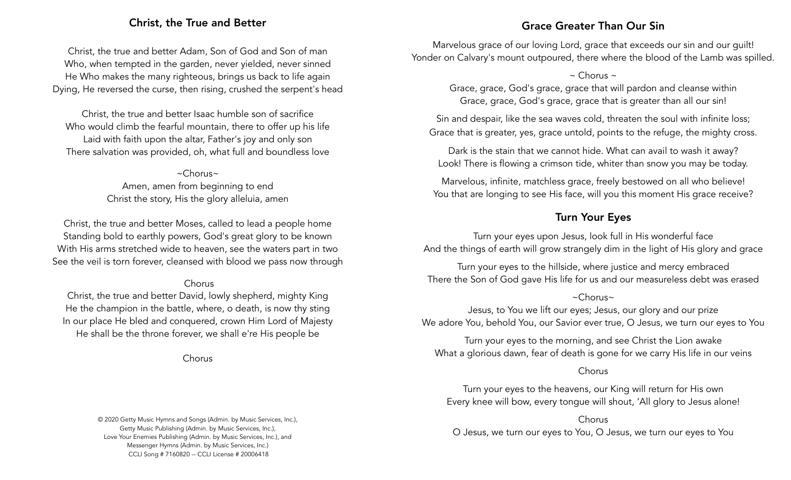# Christ, the True and Better

Christ, the true and better Adam, Son of God and Son of man Who, when tempted in the garden, never yielded, never sinned He Who makes the many righteous, brings us back to life again Dying, He reversed the curse, then rising, crushed the serpent's head

Christ, the true and better Isaac humble son of sacrifice Who would climb the fearful mountain, there to offer up his life Laid with faith upon the altar, Father's joy and only son There salvation was provided, oh, what full and boundless love

> ~Chorus~ Amen, amen from beginning to end Christ the story, His the glory alleluia, amen

Christ, the true and better Moses, called to lead a people home Standing bold to earthly powers, God's great glory to be known With His arms stretched wide to heaven, see the waters part in two See the veil is torn forever, cleansed with blood we pass now through

#### Chorus

Christ, the true and better David, lowly shepherd, mighty King He the champion in the battle, where, o death, is now thy sting In our place He bled and conquered, crown Him Lord of Majesty He shall be the throne forever, we shall e're His people be

Chorus

© 2020 Getty Music Hymns and Songs (Admin. by Music Services, Inc.), Getty Music Publishing (Admin. by Music Services, Inc.), Love Your Enemies Publishing (Admin. by Music Services, Inc.), and Messenger Hymns (Admin. by Music Services, Inc.) CCLI Song # 7160820 -- CCLI License # 20006418

# Grace Greater Than Our Sin

Marvelous grace of our loving Lord, grace that exceeds our sin and our guilt! Yonder on Calvary's mount outpoured, there where the blood of the Lamb was spilled.

#### $\sim$  Chorus  $\sim$

Grace, grace, God's grace, grace that will pardon and cleanse within Grace, grace, God's grace, grace that is greater than all our sin!

Sin and despair, like the sea waves cold, threaten the soul with infinite loss; Grace that is greater, yes, grace untold, points to the refuge, the mighty cross.

Dark is the stain that we cannot hide. What can avail to wash it away? Look! There is flowing a crimson tide, whiter than snow you may be today.

Marvelous, infinite, matchless grace, freely bestowed on all who believe! You that are longing to see His face, will you this moment His grace receive?

# Turn Your Eyes

Turn your eyes upon Jesus, look full in His wonderful face And the things of earth will grow strangely dim in the light of His glory and grace

Turn your eyes to the hillside, where justice and mercy embraced There the Son of God gave His life for us and our measureless debt was erased

#### ~Chorus~

Jesus, to You we lift our eyes; Jesus, our glory and our prize We adore You, behold You, our Savior ever true, O Jesus, we turn our eyes to You

Turn your eyes to the morning, and see Christ the Lion awake What a glorious dawn, fear of death is gone for we carry His life in our veins

#### Chorus

Turn your eyes to the heavens, our King will return for His own Every knee will bow, every tongue will shout, 'All glory to Jesus alone!

Chorus O Jesus, we turn our eyes to You, O Jesus, we turn our eyes to You